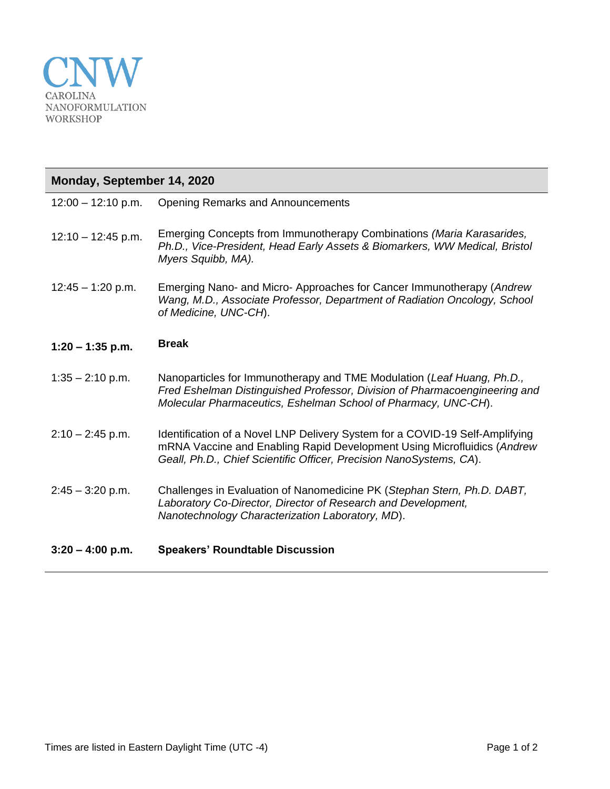

| Monday, September 14, 2020 |                                                                                                                                                                                                                                |
|----------------------------|--------------------------------------------------------------------------------------------------------------------------------------------------------------------------------------------------------------------------------|
| $12:00 - 12:10$ p.m.       | <b>Opening Remarks and Announcements</b>                                                                                                                                                                                       |
| $12:10 - 12:45$ p.m.       | Emerging Concepts from Immunotherapy Combinations (Maria Karasarides,<br>Ph.D., Vice-President, Head Early Assets & Biomarkers, WW Medical, Bristol<br>Myers Squibb, MA).                                                      |
| $12:45 - 1:20$ p.m.        | Emerging Nano- and Micro- Approaches for Cancer Immunotherapy (Andrew<br>Wang, M.D., Associate Professor, Department of Radiation Oncology, School<br>of Medicine, UNC-CH).                                                    |
| $1:20 - 1:35$ p.m.         | <b>Break</b>                                                                                                                                                                                                                   |
| $1:35 - 2:10$ p.m.         | Nanoparticles for Immunotherapy and TME Modulation (Leaf Huang, Ph.D.,<br>Fred Eshelman Distinguished Professor, Division of Pharmacoengineering and<br>Molecular Pharmaceutics, Eshelman School of Pharmacy, UNC-CH).         |
| $2:10 - 2:45$ p.m.         | Identification of a Novel LNP Delivery System for a COVID-19 Self-Amplifying<br>mRNA Vaccine and Enabling Rapid Development Using Microfluidics (Andrew<br>Geall, Ph.D., Chief Scientific Officer, Precision NanoSystems, CA). |
| $2:45 - 3:20$ p.m.         | Challenges in Evaluation of Nanomedicine PK (Stephan Stern, Ph.D. DABT,<br>Laboratory Co-Director, Director of Research and Development,<br>Nanotechnology Characterization Laboratory, MD).                                   |
| $3:20 - 4:00$ p.m.         | <b>Speakers' Roundtable Discussion</b>                                                                                                                                                                                         |